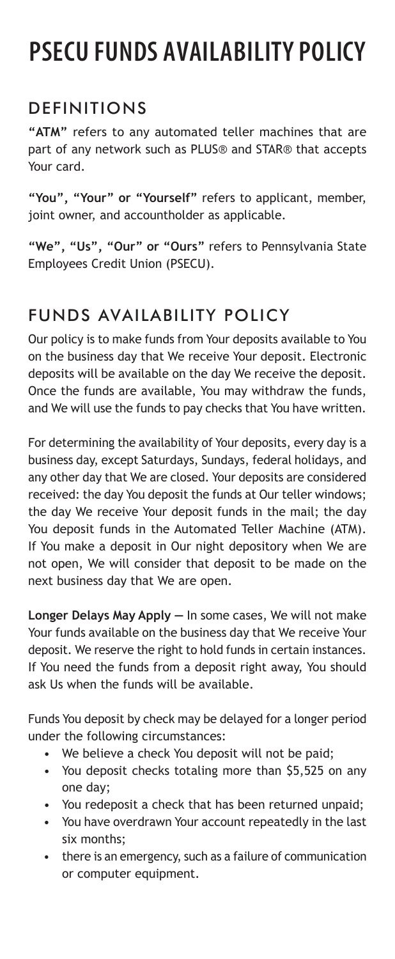## **PSECU FUNDS AVAILABILITY POLICY**

## DEFINITIONS

**"ATM"** refers to any automated teller machines that are part of any network such as PLUS® and STAR® that accepts Your card.

**"You", "Your" or "Yourself"** refers to applicant, member, joint owner, and accountholder as applicable.

**"We", "Us", "Our" or "Ours"** refers to Pennsylvania State Employees Credit Union (PSECU).

## FUNDS AVAILABILITY POLICY

Our policy is to make funds from Your deposits available to You on the business day that We receive Your deposit. Electronic deposits will be available on the day We receive the deposit. Once the funds are available, You may withdraw the funds, and We will use the funds to pay checks that You have written.

For determining the availability of Your deposits, every day is a business day, except Saturdays, Sundays, federal holidays, and any other day that We are closed. Your deposits are considered received: the day You deposit the funds at Our teller windows; the day We receive Your deposit funds in the mail; the day You deposit funds in the Automated Teller Machine (ATM). If You make a deposit in Our night depository when We are not open, We will consider that deposit to be made on the next business day that We are open.

**Longer Delays May Apply —** In some cases, We will not make Your funds available on the business day that We receive Your deposit. We reserve the right to hold funds in certain instances. If You need the funds from a deposit right away, You should ask Us when the funds will be available.

Funds You deposit by check may be delayed for a longer period under the following circumstances:

- We believe a check You deposit will not be paid;
- You deposit checks totaling more than \$5,525 on any one day;
- You redeposit a check that has been returned unpaid;
- You have overdrawn Your account repeatedly in the last six months;
- there is an emergency, such as a failure of communication or computer equipment.